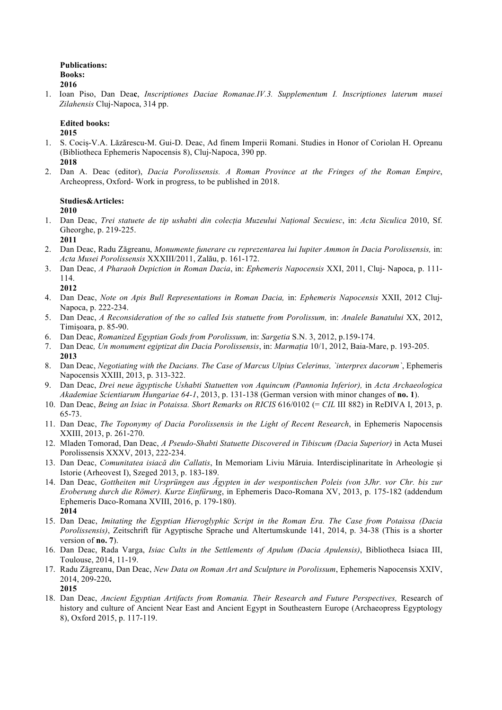### **Publications: Books: 2016**

1. Ioan Piso, Dan Dea**c**, *Inscriptiones Daciae Romanae.IV.3. Supplementum I. Inscriptiones laterum musei Zilahensis* Cluj-Napoca, 314 pp.

## **Edited books:**

**2015**

- 1. S. Cociș-V.A. Lăzărescu-M. Gui-D. Deac, Ad finem Imperii Romani. Studies in Honor of Coriolan H. Opreanu (Bibliotheca Ephemeris Napocensis 8), Cluj-Napoca, 390 pp. **2018**
- 2. Dan A. Deac (editor), *Dacia Porolissensis. A Roman Province at the Fringes of the Roman Empire*, Archeopress, Oxford- Work in progress, to be published in 2018.

## **Studies&Articles:**

**2010**

1. Dan Deac, *Trei statuete de tip ushabti din colecția Muzeului Național Secuiesc*, in: *Acta Siculica* 2010, Sf. Gheorghe, p. 219-225.

**2011**

- 2. Dan Deac, Radu Zăgreanu, *Monumente funerare cu reprezentarea lui Iupiter Ammon în Dacia Porolissensis,* in: *Acta Musei Porolissensis* XXXIII/2011, Zalău, p. 161-172.
- 3. Dan Deac, *A Pharaoh Depiction in Roman Dacia*, in: *Ephemeris Napocensis* XXI, 2011, Cluj- Napoca, p. 111- 114.

**2012**

- 4. Dan Deac, *Note on Apis Bull Representations in Roman Dacia,* in: *Ephemeris Napocensis* XXII, 2012 Cluj-Napoca, p. 222-234.
- 5. Dan Deac, *A Reconsideration of the so called Isis statuette from Porolissum,* in: *Analele Banatului* XX, 2012, Timișoara, p. 85-90.
- 6. Dan Deac, *Romanized Egyptian Gods from Porolissum,* in: *Sargetia* S.N. 3, 2012, p.159-174.
- 7. Dan Deac*, Un monument egiptizat din Dacia Porolissensis*, in: *Marmația* 10/1, 2012, Baia-Mare, p. 193-205. **2013**
- 8. Dan Deac, *Negotiating with the Dacians. The Case of Marcus Ulpius Celerinus, `interprex dacorum`*, Ephemeris Napocensis XXIII, 2013, p. 313-322.
- 9. Dan Deac, *Drei neue ägyptische Ushabti Statuetten von Aquincum (Pannonia Inferior),* in *Acta Archaeologica Akademiae Scientiarum Hungariae 64-1*, 2013, p. 131-138 (German version with minor changes of **no. 1**).
- 10. Dan Deac, *Being an Isiac in Potaissa. Short Remarks on RICIS* 616/0102 (= *CIL* III 882) in ReDIVA I, 2013, p. 65-73.
- 11. Dan Deac, *The Toponymy of Dacia Porolissensis in the Light of Recent Research*, in Ephemeris Napocensis XXIII, 2013, p. 261-270.
- 12. Mladen Tomorad, Dan Deac, *A Pseudo-Shabti Statuette Discovered in Tibiscum (Dacia Superior)* in Acta Musei Porolissensis XXXV, 2013, 222-234.
- 13. Dan Deac, *Comunitatea isiacă din Callatis*, In Memoriam Liviu Măruia. Interdisciplinaritate în Arheologie și Istorie (Arheovest I), Szeged 2013, p. 183-189.
- 14. Dan Deac, *Gottheiten mit Ursprüngen aus Ägypten in der wespontischen Poleis (von 3Jhr. vor Chr. bis zur Eroberung durch die Römer). Kurze Einfürung*, in Ephemeris Daco-Romana XV, 2013, p. 175-182 (addendum Ephemeris Daco-Romana XVIII, 2016, p. 179-180). **2014**
- 15. Dan Deac, *Imitating the Egyptian Hieroglyphic Script in the Roman Era. The Case from Potaissa (Dacia Porolissensis)*, Zeitschrift für Agyptische Sprache und Altertumskunde 141, 2014, p. 34-38 (This is a shorter version of **no. 7**).
- 16. Dan Deac, Rada Varga, *Isiac Cults in the Settlements of Apulum (Dacia Apulensis)*, Bibliotheca Isiaca III, Toulouse, 2014, 11-19.
- 17. Radu Zăgreanu, Dan Deac, *New Data on Roman Art and Sculpture in Porolissum*, Ephemeris Napocensis XXIV, 2014, 209-220**. 2015**
- 18. Dan Deac, *Ancient Egyptian Artifacts from Romania. Their Research and Future Perspectives,* Research of history and culture of Ancient Near East and Ancient Egypt in Southeastern Europe (Archaeopress Egyptology 8), Oxford 2015, p. 117-119.